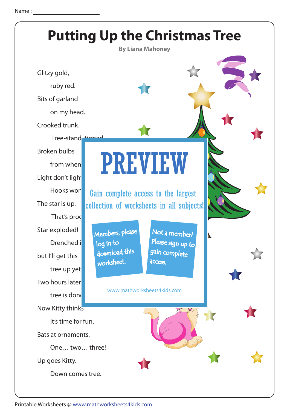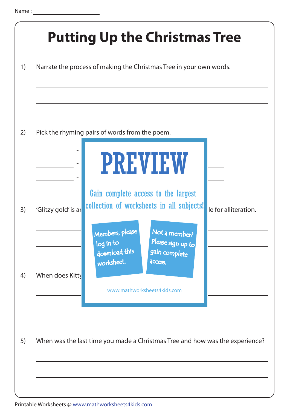|                     | <b>Putting Up the Christmas Tree</b><br>Narrate the process of making the Christmas Tree in your own words.                                                               |
|---------------------|---------------------------------------------------------------------------------------------------------------------------------------------------------------------------|
|                     | Pick the rhyming pairs of words from the poem.                                                                                                                            |
|                     | <b>PREVIEW</b><br>Gain complete access to the largest                                                                                                                     |
| 'Glitzy gold' is ar | collection of worksheets in all subjects!<br>le for alliteration.<br>Members, please<br>Not a member?<br>Please sign up to<br>log in to<br>download this<br>gain complete |
| When does Kitty     | worksheet.<br>access.<br>www.mathworksheets4kids.com                                                                                                                      |
|                     | When was the last time you made a Christmas Tree and how was the experience?                                                                                              |